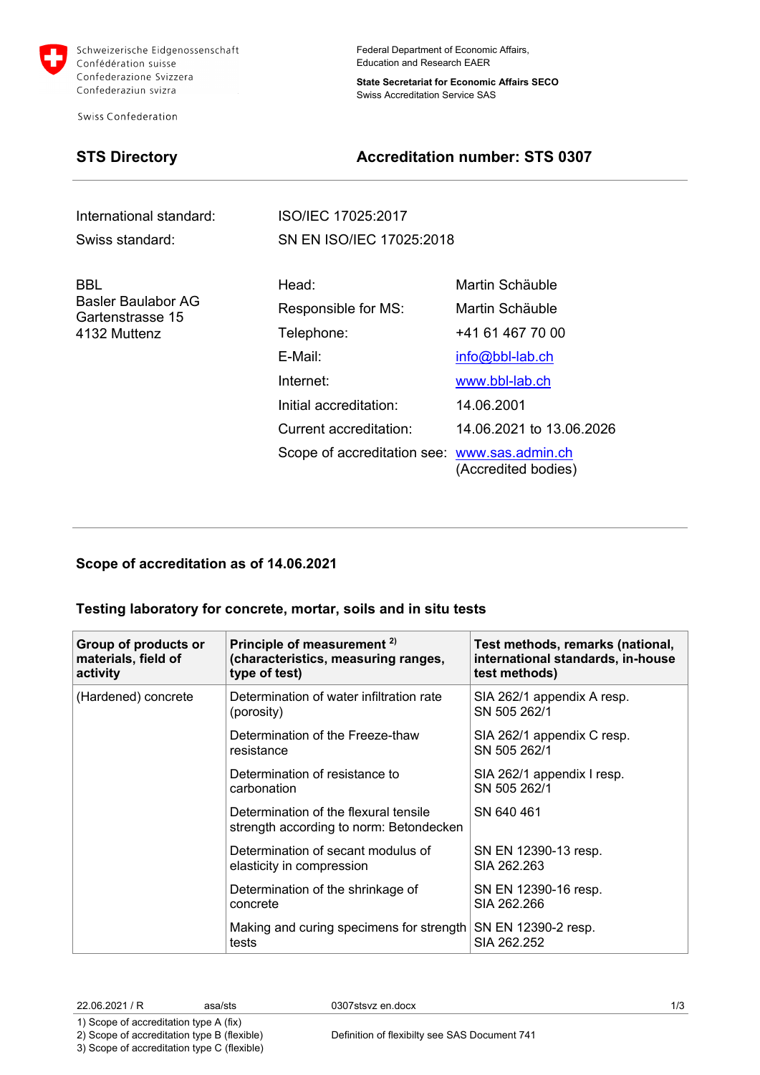

Schweizerische Eidgenossenschaft Confédération suisse Confederazione Svizzera Confederaziun svizra

**Swiss Confederation** 

Federal Department of Economic Affairs, Education and Research EAER

**State Secretariat for Economic Affairs SECO** Swiss Accreditation Service SAS

# **STS Directory Accreditation number: STS 0307**

International standard: ISO/IEC 17025:2017

BBL Basler Baulabor AG Gartenstrasse 15 4132 Muttenz

Swiss standard: SN EN ISO/IEC 17025:2018

| Head:                                        | Martin Schäuble          |
|----------------------------------------------|--------------------------|
| Responsible for MS:                          | Martin Schäuble          |
| Telephone:                                   | +41 61 467 70 00         |
| E-Mail:                                      | info@bbl-lab.ch          |
| Internet:                                    | www.bbl-lab.ch           |
| Initial accreditation:                       | 14.06.2001               |
| Current accreditation:                       | 14.06.2021 to 13.06.2026 |
| Scope of accreditation see: www.sas.admin.ch | (Accredited bodies)      |

### **Scope of accreditation as of 14.06.2021**

### **Testing laboratory for concrete, mortar, soils and in situ tests**

| Group of products or<br>materials, field of<br>activity | Principle of measurement <sup>2)</sup><br>(characteristics, measuring ranges,<br>type of test) | Test methods, remarks (national,<br>international standards, in-house<br>test methods) |
|---------------------------------------------------------|------------------------------------------------------------------------------------------------|----------------------------------------------------------------------------------------|
| (Hardened) concrete                                     | Determination of water infiltration rate<br>(porosity)                                         | SIA 262/1 appendix A resp.<br>SN 505 262/1                                             |
|                                                         | Determination of the Freeze-thaw<br>resistance                                                 | SIA 262/1 appendix C resp.<br>SN 505 262/1                                             |
|                                                         | Determination of resistance to<br>carbonation                                                  | SIA 262/1 appendix I resp.<br>SN 505 262/1                                             |
|                                                         | Determination of the flexural tensile<br>strength according to norm: Betondecken               | SN 640 461                                                                             |
|                                                         | Determination of secant modulus of<br>elasticity in compression                                | SN EN 12390-13 resp.<br>SIA 262.263                                                    |
|                                                         | Determination of the shrinkage of<br>concrete                                                  | SN EN 12390-16 resp.<br>SIA 262.266                                                    |
|                                                         | Making and curing specimens for strength<br>tests                                              | SN EN 12390-2 resp.<br>SIA 262.252                                                     |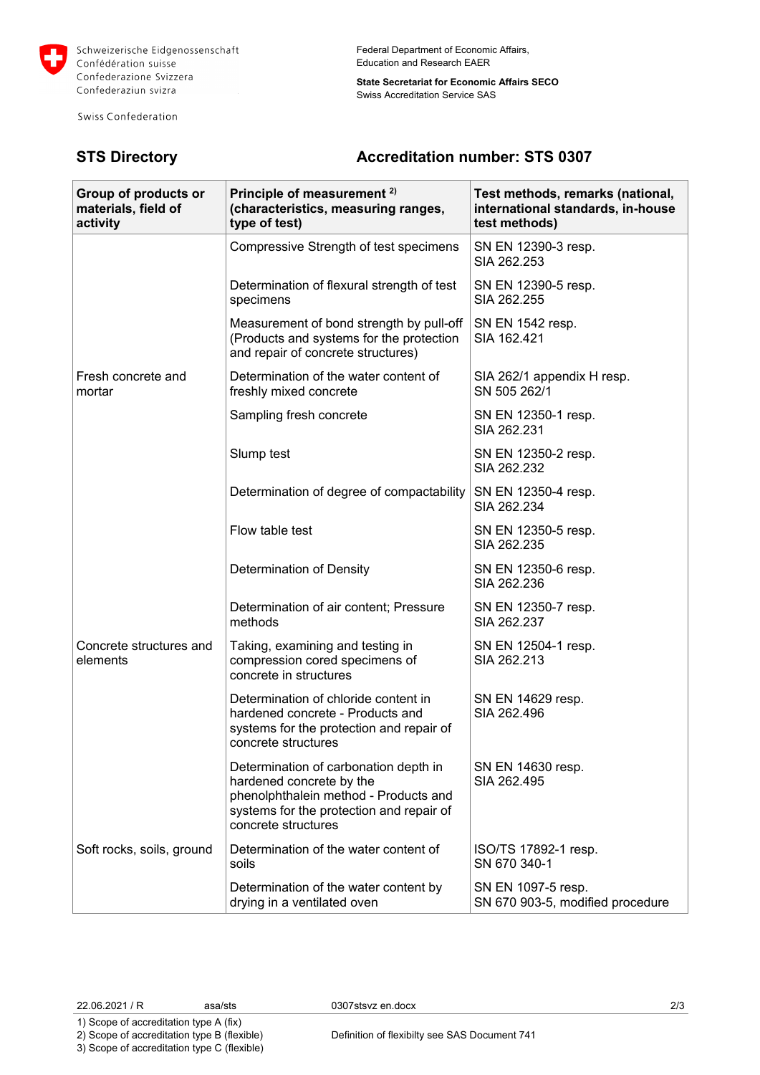

Schweizerische Eidgenossenschaft Confédération suisse Confederazione Svizzera Confederaziun svizra

Swiss Confederation

Federal Department of Economic Affairs, Education and Research EAER

**State Secretariat for Economic Affairs SECO** Swiss Accreditation Service SAS

## **STS Directory Accreditation number: STS 0307**

| Group of products or<br>materials, field of<br>activity | Principle of measurement <sup>2)</sup><br>(characteristics, measuring ranges,<br>type of test)                                                                                | Test methods, remarks (national,<br>international standards, in-house<br>test methods) |
|---------------------------------------------------------|-------------------------------------------------------------------------------------------------------------------------------------------------------------------------------|----------------------------------------------------------------------------------------|
|                                                         | Compressive Strength of test specimens                                                                                                                                        | SN EN 12390-3 resp.<br>SIA 262,253                                                     |
|                                                         | Determination of flexural strength of test<br>specimens                                                                                                                       | SN EN 12390-5 resp.<br>SIA 262.255                                                     |
|                                                         | Measurement of bond strength by pull-off<br>(Products and systems for the protection<br>and repair of concrete structures)                                                    | SN EN 1542 resp.<br>SIA 162.421                                                        |
| Fresh concrete and<br>mortar                            | Determination of the water content of<br>freshly mixed concrete                                                                                                               | SIA 262/1 appendix H resp.<br>SN 505 262/1                                             |
|                                                         | Sampling fresh concrete                                                                                                                                                       | SN EN 12350-1 resp.<br>SIA 262.231                                                     |
|                                                         | Slump test                                                                                                                                                                    | SN EN 12350-2 resp.<br>SIA 262.232                                                     |
|                                                         | Determination of degree of compactability                                                                                                                                     | SN EN 12350-4 resp.<br>SIA 262.234                                                     |
|                                                         | Flow table test                                                                                                                                                               | SN EN 12350-5 resp.<br>SIA 262.235                                                     |
|                                                         | Determination of Density                                                                                                                                                      | SN EN 12350-6 resp.<br>SIA 262.236                                                     |
| Concrete structures and<br>elements                     | Determination of air content; Pressure<br>methods                                                                                                                             | SN EN 12350-7 resp.<br>SIA 262.237                                                     |
|                                                         | Taking, examining and testing in<br>compression cored specimens of<br>concrete in structures                                                                                  | SN EN 12504-1 resp.<br>SIA 262.213                                                     |
|                                                         | Determination of chloride content in<br>hardened concrete - Products and<br>systems for the protection and repair of<br>concrete structures                                   | SN EN 14629 resp.<br>SIA 262.496                                                       |
|                                                         | Determination of carbonation depth in<br>hardened concrete by the<br>phenolphthalein method - Products and<br>systems for the protection and repair of<br>concrete structures | SN EN 14630 resp.<br>SIA 262.495                                                       |
| Soft rocks, soils, ground                               | Determination of the water content of<br>soils                                                                                                                                | ISO/TS 17892-1 resp.<br>SN 670 340-1                                                   |
|                                                         | Determination of the water content by<br>drying in a ventilated oven                                                                                                          | SN EN 1097-5 resp.<br>SN 670 903-5, modified procedure                                 |

1) Scope of accreditation type A (fix) 2) Scope of accreditation type B (flexible)

3) Scope of accreditation type C (flexible)